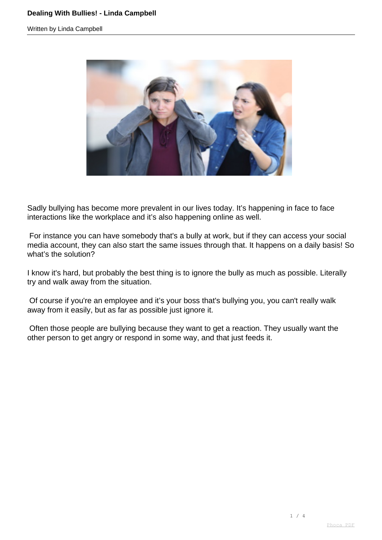

Sadly bullying has become more prevalent in our lives today. It's happening in face to face interactions like the workplace and it's also happening online as well.

 For instance you can have somebody that's a bully at work, but if they can access your social media account, they can also start the same issues through that. It happens on a daily basis! So what's the solution?

I know it's hard, but probably the best thing is to ignore the bully as much as possible. Literally try and walk away from the situation.

 Of course if you're an employee and it's your boss that's bullying you, you can't really walk away from it easily, but as far as possible just ignore it.

 Often those people are bullying because they want to get a reaction. They usually want the other person to get angry or respond in some way, and that just feeds it.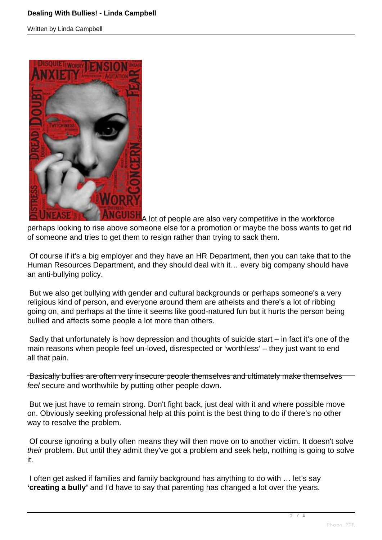

A lot of people are also very competitive in the workforce perhaps looking to rise above someone else for a promotion or maybe the boss wants to get rid of someone and tries to get them to resign rather than trying to sack them.

 Of course if it's a big employer and they have an HR Department, then you can take that to the Human Resources Department, and they should deal with it… every big company should have an anti-bullying policy.

 But we also get bullying with gender and cultural backgrounds or perhaps someone's a very religious kind of person, and everyone around them are atheists and there's a lot of ribbing going on, and perhaps at the time it seems like good-natured fun but it hurts the person being bullied and affects some people a lot more than others.

 Sadly that unfortunately is how depression and thoughts of suicide start – in fact it's one of the main reasons when people feel un-loved, disrespected or 'worthless' – they just want to end all that pain.

 Basically bullies are often very insecure people themselves and ultimately make themselves feel secure and worthwhile by putting other people down.

 But we just have to remain strong. Don't fight back, just deal with it and where possible move on. Obviously seeking professional help at this point is the best thing to do if there's no other way to resolve the problem.

 Of course ignoring a bully often means they will then move on to another victim. It doesn't solve their problem. But until they admit they've got a problem and seek help, nothing is going to solve it.

 I often get asked if families and family background has anything to do with … let's say **'creating a bully'** and I'd have to say that parenting has changed a lot over the years.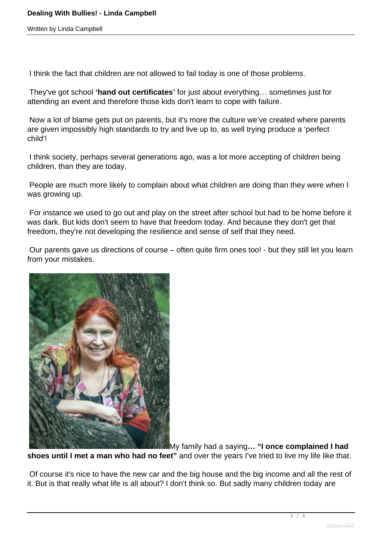I think the fact that children are not allowed to fail today is one of those problems.

 They've got school **'hand out certificates'** for just about everything… sometimes just for attending an event and therefore those kids don't learn to cope with failure.

 Now a lot of blame gets put on parents, but it's more the culture we've created where parents are given impossibly high standards to try and live up to, as well trying produce a 'perfect child'!

 I think society, perhaps several generations ago, was a lot more accepting of children being children, than they are today.

 People are much more likely to complain about what children are doing than they were when I was growing up.

 For instance we used to go out and play on the street after school but had to be home before it was dark. But kids don't seem to have that freedom today. And because they don't get that freedom, they're not developing the resilience and sense of self that they need.

 Our parents gave us directions of course – often quite firm ones too! - but they still let you learn from your mistakes.



My family had a saying**… "I once complained I had**

**shoes until I met a man who had no feet"** and over the years I've tried to live my life like that.

 Of course it's nice to have the new car and the big house and the big income and all the rest of it. But is that really what life is all about? I don't think so. But sadly many children today are